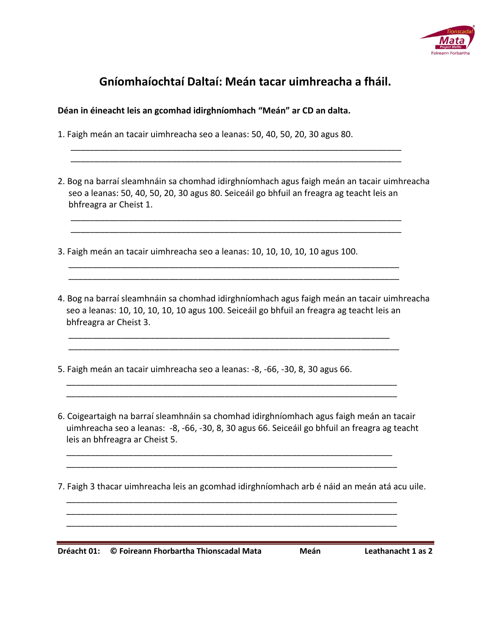

## **Gníomhaíochtaí Daltaí: Meán tacar uimhreacha a fháil.**

**Déan in éineacht leis an gcomhad idirghníomhach "Meán" ar CD an dalta.** 

- 1. Faigh meán an tacair uimhreacha seo a leanas: 50, 40, 50, 20, 30 agus 80.
- 2. Bog na barraí sleamhnáin sa chomhad idirghníomhach agus faigh meán an tacair uimhreacha seo a leanas: 50, 40, 50, 20, 30 agus 80. Seiceáil go bhfuil an freagra ag teacht leis an bhfreagra ar Cheist 1.

 \_\_\_\_\_\_\_\_\_\_\_\_\_\_\_\_\_\_\_\_\_\_\_\_\_\_\_\_\_\_\_\_\_\_\_\_\_\_\_\_\_\_\_\_\_\_\_\_\_\_\_\_\_\_\_\_\_\_\_\_\_\_\_\_\_\_\_\_\_ \_\_\_\_\_\_\_\_\_\_\_\_\_\_\_\_\_\_\_\_\_\_\_\_\_\_\_\_\_\_\_\_\_\_\_\_\_\_\_\_\_\_\_\_\_\_\_\_\_\_\_\_\_\_\_\_\_\_\_\_\_\_\_\_\_\_\_\_\_

\_\_\_\_\_\_\_\_\_\_\_\_\_\_\_\_\_\_\_\_\_\_\_\_\_\_\_\_\_\_\_\_\_\_\_\_\_\_\_\_\_\_\_\_\_\_\_\_\_\_\_\_\_\_\_\_\_\_\_\_\_\_\_\_\_\_\_\_\_

 \_\_\_\_\_\_\_\_\_\_\_\_\_\_\_\_\_\_\_\_\_\_\_\_\_\_\_\_\_\_\_\_\_\_\_\_\_\_\_\_\_\_\_\_\_\_\_\_\_\_\_\_\_\_\_\_\_\_\_\_\_\_\_\_\_\_\_\_\_ \_\_\_\_\_\_\_\_\_\_\_\_\_\_\_\_\_\_\_\_\_\_\_\_\_\_\_\_\_\_\_\_\_\_\_\_\_\_\_\_\_\_\_\_\_\_\_\_\_\_\_\_\_\_\_\_\_\_\_\_\_\_\_\_\_\_\_\_\_

 \_\_\_\_\_\_\_\_\_\_\_\_\_\_\_\_\_\_\_\_\_\_\_\_\_\_\_\_\_\_\_\_\_\_\_\_\_\_\_\_\_\_\_\_\_\_\_\_\_\_\_\_\_\_\_\_\_\_\_\_\_\_\_\_\_\_\_ \_\_\_\_\_\_\_\_\_\_\_\_\_\_\_\_\_\_\_\_\_\_\_\_\_\_\_\_\_\_\_\_\_\_\_\_\_\_\_\_\_\_\_\_\_\_\_\_\_\_\_\_\_\_\_\_\_\_\_\_\_\_\_\_\_\_\_\_\_

 $\overline{\phantom{a}}$  , and the contract of the contract of the contract of the contract of the contract of the contract of the contract of the contract of the contract of the contract of the contract of the contract of the contrac  $\overline{\phantom{a}}$  , and the contract of the contract of the contract of the contract of the contract of the contract of the contract of the contract of the contract of the contract of the contract of the contract of the contrac

 \_\_\_\_\_\_\_\_\_\_\_\_\_\_\_\_\_\_\_\_\_\_\_\_\_\_\_\_\_\_\_\_\_\_\_\_\_\_\_\_\_\_\_\_\_\_\_\_\_\_\_\_\_\_\_\_\_\_\_\_\_\_\_\_\_\_\_\_ \_\_\_\_\_\_\_\_\_\_\_\_\_\_\_\_\_\_\_\_\_\_\_\_\_\_\_\_\_\_\_\_\_\_\_\_\_\_\_\_\_\_\_\_\_\_\_\_\_\_\_\_\_\_\_\_\_\_\_\_\_\_\_\_\_\_\_\_\_

 $\overline{\phantom{a}}$  , and the contract of the contract of the contract of the contract of the contract of the contract of the contract of the contract of the contract of the contract of the contract of the contract of the contrac \_\_\_\_\_\_\_\_\_\_\_\_\_\_\_\_\_\_\_\_\_\_\_\_\_\_\_\_\_\_\_\_\_\_\_\_\_\_\_\_\_\_\_\_\_\_\_\_\_\_\_\_\_\_\_\_\_\_\_\_\_\_\_\_\_\_\_\_\_  $\overline{\phantom{a}}$  , and the contract of the contract of the contract of the contract of the contract of the contract of the contract of the contract of the contract of the contract of the contract of the contract of the contrac

- 3. Faigh meán an tacair uimhreacha seo a leanas: 10, 10, 10, 10, 10 agus 100.
- 4. Bog na barraí sleamhnáin sa chomhad idirghníomhach agus faigh meán an tacair uimhreacha seo a leanas: 10, 10, 10, 10, 10 agus 100. Seiceáil go bhfuil an freagra ag teacht leis an bhfreagra ar Cheist 3.
- 5. Faigh meán an tacair uimhreacha seo a leanas: -8, -66, -30, 8, 30 agus 66.
- 6. Coigeartaigh na barraí sleamhnáin sa chomhad idirghníomhach agus faigh meán an tacair uimhreacha seo a leanas: -8, -66, -30, 8, 30 agus 66. Seiceáil go bhfuil an freagra ag teacht leis an bhfreagra ar Cheist 5.

7. Faigh 3 thacar uimhreacha leis an gcomhad idirghníomhach arb é náid an meán atá acu uile.

**Dréacht 01: © Foireann Fhorbartha Thionscadal Mata Meán Leathanacht 1 as 2**